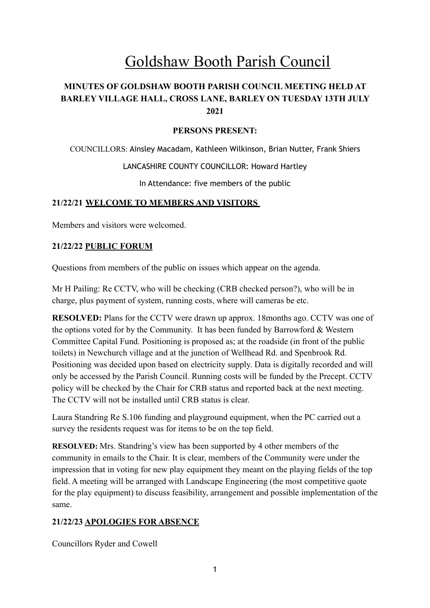# Goldshaw Booth Parish Council

# **MINUTES OF GOLDSHAW BOOTH PARISH COUNCIL MEETING HELD AT BARLEY VILLAGE HALL, CROSS LANE, BARLEY ON TUESDAY 13TH JULY 2021**

#### **PERSONS PRESENT:**

COUNCILLORS: Ainsley Macadam, Kathleen Wilkinson, Brian Nutter, Frank Shiers

#### LANCASHIRE COUNTY COUNCILLOR: Howard Hartley

In Attendance: five members of the public

#### **21/22/21 WELCOME TO MEMBERS AND VISITORS**

Members and visitors were welcomed.

#### **21/22/22 PUBLIC FORUM**

Questions from members of the public on issues which appear on the agenda.

Mr H Pailing: Re CCTV, who will be checking (CRB checked person?), who will be in charge, plus payment of system, running costs, where will cameras be etc.

**RESOLVED:** Plans for the CCTV were drawn up approx. 18months ago. CCTV was one of the options voted for by the Community. It has been funded by Barrowford & Western Committee Capital Fund. Positioning is proposed as; at the roadside (in front of the public toilets) in Newchurch village and at the junction of Wellhead Rd. and Spenbrook Rd. Positioning was decided upon based on electricity supply. Data is digitally recorded and will only be accessed by the Parish Council. Running costs will be funded by the Precept. CCTV policy will be checked by the Chair for CRB status and reported back at the next meeting. The CCTV will not be installed until CRB status is clear.

Laura Standring Re S.106 funding and playground equipment, when the PC carried out a survey the residents request was for items to be on the top field.

**RESOLVED:** Mrs. Standring's view has been supported by 4 other members of the community in emails to the Chair. It is clear, members of the Community were under the impression that in voting for new play equipment they meant on the playing fields of the top field. A meeting will be arranged with Landscape Engineering (the most competitive quote for the play equipment) to discuss feasibility, arrangement and possible implementation of the same.

# **21/22/23 APOLOGIES FOR ABSENCE**

Councillors Ryder and Cowell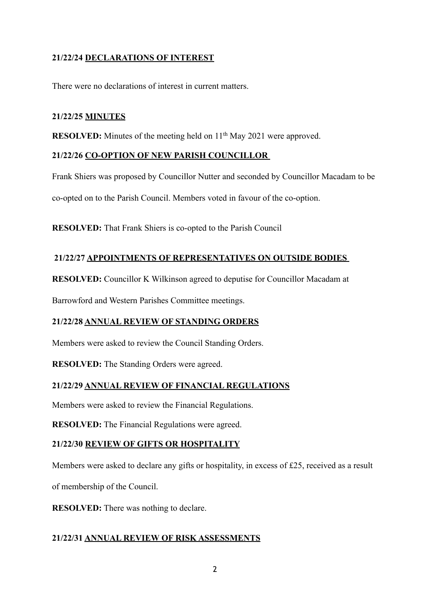# **21/22/24 DECLARATIONS OF INTEREST**

There were no declarations of interest in current matters.

## **21/22/25 MINUTES**

**RESOLVED:** Minutes of the meeting held on 11<sup>th</sup> May 2021 were approved.

# **21/22/26 CO-OPTION OF NEW PARISH COUNCILLOR**

Frank Shiers was proposed by Councillor Nutter and seconded by Councillor Macadam to be co-opted on to the Parish Council. Members voted in favour of the co-option.

**RESOLVED:** That Frank Shiers is co-opted to the Parish Council

## **21/22/27 APPOINTMENTS OF REPRESENTATIVES ON OUTSIDE BODIES**

**RESOLVED:** Councillor K Wilkinson agreed to deputise for Councillor Macadam at

Barrowford and Western Parishes Committee meetings.

# **21/22/28 ANNUAL REVIEW OF STANDING ORDERS**

Members were asked to review the Council Standing Orders.

**RESOLVED:** The Standing Orders were agreed.

# **21/22/29 ANNUAL REVIEW OF FINANCIAL REGULATIONS**

Members were asked to review the Financial Regulations.

**RESOLVED:** The Financial Regulations were agreed.

#### **21/22/30 REVIEW OF GIFTS OR HOSPITALITY**

Members were asked to declare any gifts or hospitality, in excess of £25, received as a result

of membership of the Council.

**RESOLVED:** There was nothing to declare.

# **21/22/31 ANNUAL REVIEW OF RISK ASSESSMENTS**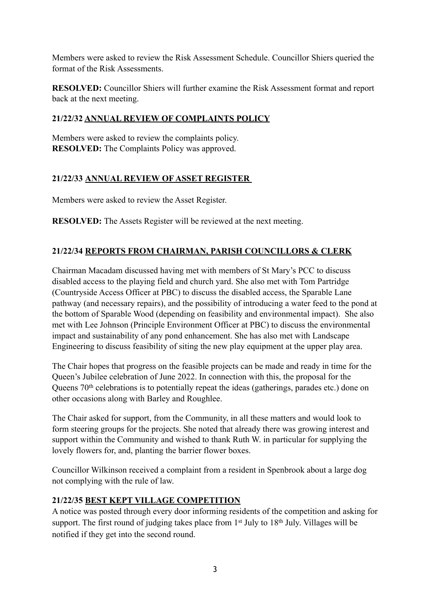Members were asked to review the Risk Assessment Schedule. Councillor Shiers queried the format of the Risk Assessments.

**RESOLVED:** Councillor Shiers will further examine the Risk Assessment format and report back at the next meeting.

## **21/22/32 ANNUAL REVIEW OF COMPLAINTS POLICY**

Members were asked to review the complaints policy. **RESOLVED:** The Complaints Policy was approved.

## **21/22/33 ANNUAL REVIEW OF ASSET REGISTER**

Members were asked to review the Asset Register.

**RESOLVED:** The Assets Register will be reviewed at the next meeting.

# **21/22/34 REPORTS FROM CHAIRMAN, PARISH COUNCILLORS & CLERK**

Chairman Macadam discussed having met with members of St Mary's PCC to discuss disabled access to the playing field and church yard. She also met with Tom Partridge (Countryside Access Officer at PBC) to discuss the disabled access, the Sparable Lane pathway (and necessary repairs), and the possibility of introducing a water feed to the pond at the bottom of Sparable Wood (depending on feasibility and environmental impact). She also met with Lee Johnson (Principle Environment Officer at PBC) to discuss the environmental impact and sustainability of any pond enhancement. She has also met with Landscape Engineering to discuss feasibility of siting the new play equipment at the upper play area.

The Chair hopes that progress on the feasible projects can be made and ready in time for the Queen's Jubilee celebration of June 2022. In connection with this, the proposal for the Queens 70<sup>th</sup> celebrations is to potentially repeat the ideas (gatherings, parades etc.) done on other occasions along with Barley and Roughlee.

The Chair asked for support, from the Community, in all these matters and would look to form steering groups for the projects. She noted that already there was growing interest and support within the Community and wished to thank Ruth W. in particular for supplying the lovely flowers for, and, planting the barrier flower boxes.

Councillor Wilkinson received a complaint from a resident in Spenbrook about a large dog not complying with the rule of law.

#### **21/22/35 BEST KEPT VILLAGE COMPETITION**

A notice was posted through every door informing residents of the competition and asking for support. The first round of judging takes place from  $1<sup>st</sup>$  July to  $18<sup>th</sup>$  July. Villages will be notified if they get into the second round.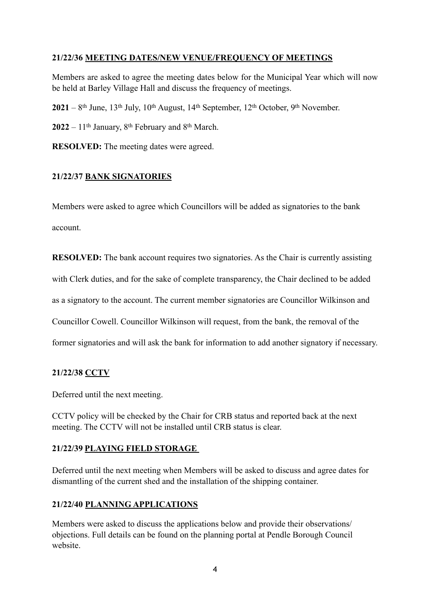## **21/22/36 MEETING DATES/NEW VENUE/FREQUENCY OF MEETINGS**

Members are asked to agree the meeting dates below for the Municipal Year which will now be held at Barley Village Hall and discuss the frequency of meetings.

**2021** – 8th June, 13th July, 10th August, 14th September, 12th October, 9th November.

 $2022 - 11$ <sup>th</sup> January,  $8$ <sup>th</sup> February and  $8$ <sup>th</sup> March.

**RESOLVED:** The meeting dates were agreed.

## **21/22/37 BANK SIGNATORIES**

Members were asked to agree which Councillors will be added as signatories to the bank account.

**RESOLVED:** The bank account requires two signatories. As the Chair is currently assisting with Clerk duties, and for the sake of complete transparency, the Chair declined to be added as a signatory to the account. The current member signatories are Councillor Wilkinson and Councillor Cowell. Councillor Wilkinson will request, from the bank, the removal of the former signatories and will ask the bank for information to add another signatory if necessary.

# **21/22/38 CCTV**

Deferred until the next meeting.

CCTV policy will be checked by the Chair for CRB status and reported back at the next meeting. The CCTV will not be installed until CRB status is clear.

#### **21/22/39 PLAYING FIELD STORAGE**

Deferred until the next meeting when Members will be asked to discuss and agree dates for dismantling of the current shed and the installation of the shipping container.

# **21/22/40 PLANNING APPLICATIONS**

Members were asked to discuss the applications below and provide their observations/ objections. Full details can be found on the planning portal at Pendle Borough Council website.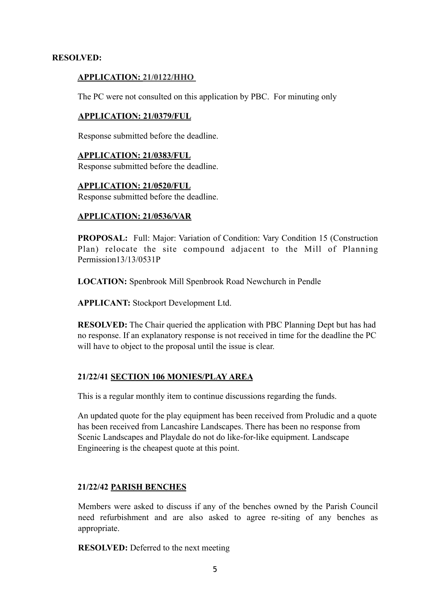#### **RESOLVED:**

#### **APPLICATION: 21/0122/HHO**

The PC were not consulted on this application by PBC. For minuting only

#### **APPLICATION: 21/0379/FUL**

Response submitted before the deadline.

**APPLICATION: 21/0383/FUL** Response submitted before the deadline.

**APPLICATION: 21/0520/FUL**  Response submitted before the deadline.

#### **APPLICATION: 21/0536/VAR**

**PROPOSAL:** Full: Major: Variation of Condition: Vary Condition 15 (Construction Plan) relocate the site compound adjacent to the Mill of Planning Permission13/13/0531P

**LOCATION:** Spenbrook Mill Spenbrook Road Newchurch in Pendle

**APPLICANT:** Stockport Development Ltd.

**RESOLVED:** The Chair queried the application with PBC Planning Dept but has had no response. If an explanatory response is not received in time for the deadline the PC will have to object to the proposal until the issue is clear.

#### **21/22/41 SECTION 106 MONIES/PLAY AREA**

This is a regular monthly item to continue discussions regarding the funds.

An updated quote for the play equipment has been received from Proludic and a quote has been received from Lancashire Landscapes. There has been no response from Scenic Landscapes and Playdale do not do like-for-like equipment. Landscape Engineering is the cheapest quote at this point.

#### **21/22/42 PARISH BENCHES**

Members were asked to discuss if any of the benches owned by the Parish Council need refurbishment and are also asked to agree re-siting of any benches as appropriate.

**RESOLVED:** Deferred to the next meeting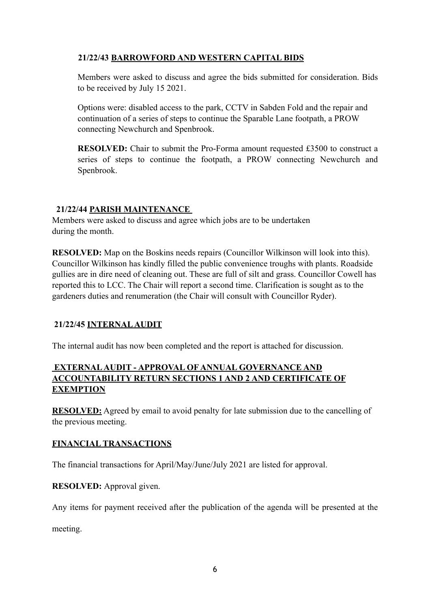# **21/22/43 BARROWFORD AND WESTERN CAPITAL BIDS**

Members were asked to discuss and agree the bids submitted for consideration. Bids to be received by July 15 2021.

Options were: disabled access to the park, CCTV in Sabden Fold and the repair and continuation of a series of steps to continue the Sparable Lane footpath, a PROW connecting Newchurch and Spenbrook.

**RESOLVED:** Chair to submit the Pro-Forma amount requested £3500 to construct a series of steps to continue the footpath, a PROW connecting Newchurch and Spenbrook.

## **21/22/44 PARISH MAINTENANCE**

Members were asked to discuss and agree which jobs are to be undertaken during the month.

**RESOLVED:** Map on the Boskins needs repairs (Councillor Wilkinson will look into this). Councillor Wilkinson has kindly filled the public convenience troughs with plants. Roadside gullies are in dire need of cleaning out. These are full of silt and grass. Councillor Cowell has reported this to LCC. The Chair will report a second time. Clarification is sought as to the gardeners duties and renumeration (the Chair will consult with Councillor Ryder).

# **21/22/45 INTERNAL AUDIT**

The internal audit has now been completed and the report is attached for discussion.

## **EXTERNAL AUDIT - APPROVAL OF ANNUAL GOVERNANCE AND ACCOUNTABILITY RETURN SECTIONS 1 AND 2 AND CERTIFICATE OF EXEMPTION**

**RESOLVED:** Agreed by email to avoid penalty for late submission due to the cancelling of the previous meeting.

#### **FINANCIAL TRANSACTIONS**

The financial transactions for April/May/June/July 2021 are listed for approval.

**RESOLVED:** Approval given.

Any items for payment received after the publication of the agenda will be presented at the

meeting.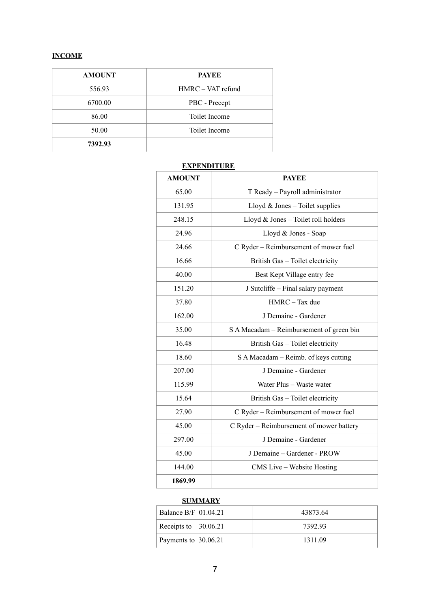#### **INCOME**

| <b>AMOUNT</b> | <b>PAYEE</b>      |
|---------------|-------------------|
| 556.93        | HMRC - VAT refund |
| 6700.00       | PBC - Precept     |
| 86.00         | Toilet Income     |
| 50.00         | Toilet Income     |
| 7392.93       |                   |

#### **EXPENDITURE**

| <b>AMOUNT</b> | <b>PAYEE</b>                             |
|---------------|------------------------------------------|
| 65.00         | T Ready - Payroll administrator          |
| 131.95        | Lloyd $&$ Jones - Toilet supplies        |
| 248.15        | Lloyd $&$ Jones – Toilet roll holders    |
| 24.96         | Lloyd & Jones - Soap                     |
| 24.66         | C Ryder - Reimbursement of mower fuel    |
| 16.66         | British Gas - Toilet electricity         |
| 40.00         | Best Kept Village entry fee              |
| 151.20        | J Sutcliffe – Final salary payment       |
| 37.80         | HMRC - Tax due                           |
| 162.00        | J Demaine - Gardener                     |
| 35.00         | S A Macadam – Reimbursement of green bin |
| 16.48         | British Gas - Toilet electricity         |
| 18.60         | S A Macadam – Reimb. of keys cutting     |
| 207.00        | J Demaine - Gardener                     |
| 115.99        | Water Plus - Waste water                 |
| 15.64         | British Gas - Toilet electricity         |
| 27.90         | C Ryder - Reimbursement of mower fuel    |
| 45.00         | C Ryder - Reimbursement of mower battery |
| 297.00        | J Demaine - Gardener                     |
| 45.00         | J Demaine - Gardener - PROW              |
| 144.00        | CMS Live - Website Hosting               |
| 1869.99       |                                          |

#### **SUMMARY**

| Balance B/F 01.04.21 | 43873.64 |
|----------------------|----------|
| Receipts to 30.06.21 | 7392.93  |
| Payments to 30.06.21 | 1311 09  |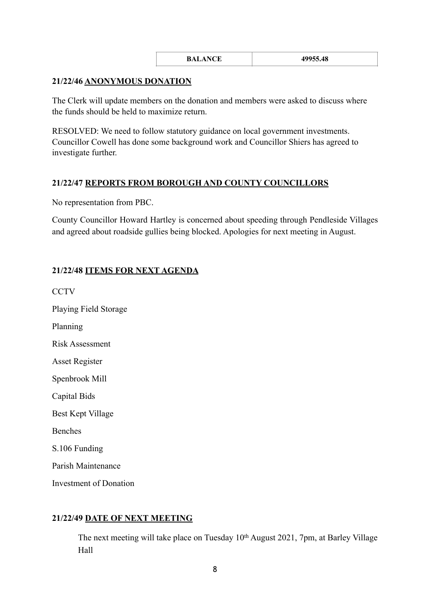| <b>BALANCE</b> | 49955.48 |
|----------------|----------|
|                |          |

#### **21/22/46 ANONYMOUS DONATION**

The Clerk will update members on the donation and members were asked to discuss where the funds should be held to maximize return.

RESOLVED: We need to follow statutory guidance on local government investments. Councillor Cowell has done some background work and Councillor Shiers has agreed to investigate further.

#### **21/22/47 REPORTS FROM BOROUGH AND COUNTY COUNCILLORS**

No representation from PBC.

County Councillor Howard Hartley is concerned about speeding through Pendleside Villages and agreed about roadside gullies being blocked. Apologies for next meeting in August.

## **21/22/48 ITEMS FOR NEXT AGENDA**

**CCTV** Playing Field Storage Planning Risk Assessment Asset Register Spenbrook Mill Capital Bids Best Kept Village Benches S.106 Funding Parish Maintenance Investment of Donation

#### **21/22/49 DATE OF NEXT MEETING**

The next meeting will take place on Tuesday 10<sup>th</sup> August 2021, 7pm, at Barley Village Hall